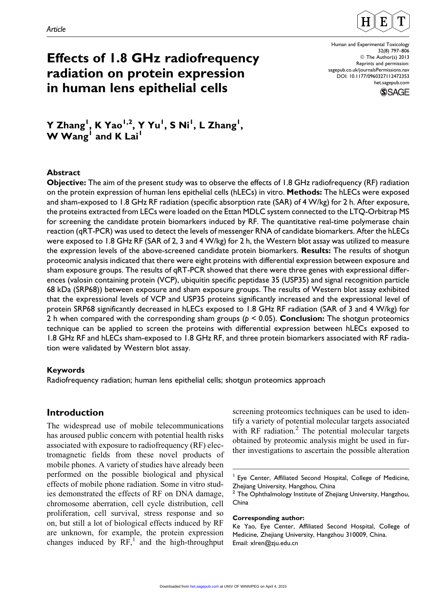

# Effects of 1.8 GHz radiofrequency radiation on protein expression in human lens epithelial cells

Human and Experimental Toxicology 32(8) 797–806 © The Author(s) 2013 Reprints and permission: [sagepub.co.uk/journalsPermissions.nav](http://sagepub.co.uk/journalsPermissions.nav) DOI: 10.1177/0960327112472353 [het.sagepub.com](http://het.sagepub.com)



Y Zhang<sup>I</sup>, K Yao<sup>I,2</sup>, Y Yu<sup>I</sup>, S Ni<sup>I</sup>, L Zhang<sup>I</sup>,  $W W$ ang<sup>1</sup> and K Lai<sup>1</sup>

## Abstract

Objective: The aim of the present study was to observe the effects of 1.8 GHz radiofrequency (RF) radiation on the protein expression of human lens epithelial cells (hLECs) in vitro. Methods: The hLECs were exposed and sham-exposed to 1.8 GHz RF radiation (specific absorption rate (SAR) of 4 W/kg) for 2 h. After exposure, the proteins extracted from LECs were loaded on the Ettan MDLC system connected to the LTQ-Orbitrap MS for screening the candidate protein biomarkers induced by RF. The quantitative real-time polymerase chain reaction (qRT-PCR) was used to detect the levels of messenger RNA of candidate biomarkers. After the hLECs were exposed to 1.8 GHz RF (SAR of 2, 3 and 4 W/kg) for 2 h, the Western blot assay was utilized to measure the expression levels of the above-screened candidate protein biomarkers. **Results:** The results of shotgun proteomic analysis indicated that there were eight proteins with differential expression between exposure and sham exposure groups. The results of qRT-PCR showed that there were three genes with expressional differences (valosin containing protein (VCP), ubiquitin specific peptidase 35 (USP35) and signal recognition particle 68 kDa (SRP68)) between exposure and sham exposure groups. The results of Western blot assay exhibited that the expressional levels of VCP and USP35 proteins significantly increased and the expressional level of protein SRP68 significantly decreased in hLECs exposed to 1.8 GHz RF radiation (SAR of 3 and 4 W/kg) for 2 h when compared with the corresponding sham groups ( $p < 0.05$ ). **Conclusion:** The shotgun proteomics technique can be applied to screen the proteins with differential expression between hLECs exposed to 1.8 GHz RF and hLECs sham-exposed to 1.8 GHz RF, and three protein biomarkers associated with RF radiation were validated by Western blot assay.

## Keywords

Radiofrequency radiation; human lens epithelial cells; shotgun proteomics approach

# Introduction

The widespread use of mobile telecommunications has aroused public concern with potential health risks associated with exposure to radiofrequency (RF) electromagnetic fields from these novel products of mobile phones. A variety of studies have already been performed on the possible biological and physical effects of mobile phone radiation. Some in vitro studies demonstrated the effects of RF on DNA damage, chromosome aberration, cell cycle distribution, cell proliferation, cell survival, stress response and so on, but still a lot of biological effects induced by RF are unknown, for example, the protein expression changes induced by  $RF<sub>1</sub><sup>1</sup>$  and the high-throughput screening proteomics techniques can be used to identify a variety of potential molecular targets associated with RF radiation.<sup>2</sup> The potential molecular targets obtained by proteomic analysis might be used in further investigations to ascertain the possible alteration

#### Corresponding author:

<sup>1</sup> Eye Center, Affiliated Second Hospital, College of Medicine, Zhejiang University, Hangzhou, China

<sup>&</sup>lt;sup>2</sup> The Ophthalmology Institute of Zhejiang University, Hangzhou, China

Ke Yao, Eye Center, Affiliated Second Hospital, College of Medicine, Zhejiang University, Hangzhou 310009, China. Email: xlren@zju.edu.cn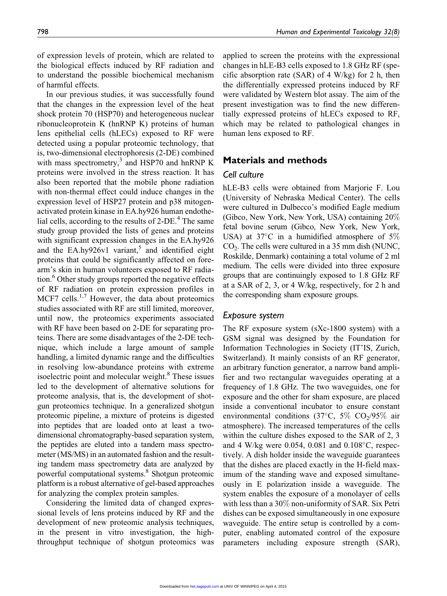of expression levels of protein, which are related to the biological effects induced by RF radiation and to understand the possible biochemical mechanism of harmful effects.

In our previous studies, it was successfully found that the changes in the expression level of the heat shock protein 70 (HSP70) and heterogeneous nuclear ribonucleoprotein K (hnRNP K) proteins of human lens epithelial cells (hLECs) exposed to RF were detected using a popular proteomic technology, that is, two-dimensional electrophoresis (2-DE) combined with mass spectrometry,<sup>3</sup> and HSP70 and hnRNP K proteins were involved in the stress reaction. It has also been reported that the mobile phone radiation with non-thermal effect could induce changes in the expression level of HSP27 protein and p38 mitogenactivated protein kinase in EA.hy926 human endothelial cells, according to the results of  $2$ -DE.<sup>4</sup> The same study group provided the lists of genes and proteins with significant expression changes in the EA.hy926 and the EA.hy926v1 variant,<sup>5</sup> and identified eight proteins that could be significantly affected on forearm's skin in human volunteers exposed to RF radiation.<sup>6</sup> Other study groups reported the negative effects of RF radiation on protein expression profiles in MCF7 cells. $1,7$  However, the data about proteomics studies associated with RF are still limited, moreover, until now, the proteomics experiments associated with RF have been based on 2-DE for separating proteins. There are some disadvantages of the 2-DE technique, which include a large amount of sample handling, a limited dynamic range and the difficulties in resolving low-abundance proteins with extreme isoelectric point and molecular weight.<sup>8</sup> These issues led to the development of alternative solutions for proteome analysis, that is, the development of shotgun proteomics technique. In a generalized shotgun proteomic pipeline, a mixture of proteins is digested into peptides that are loaded onto at least a twodimensional chromatography-based separation system, the peptides are eluted into a tandem mass spectrometer (MS/MS) in an automated fashion and the resulting tandem mass spectrometry data are analyzed by powerful computational systems.8 Shotgun proteomic platform is a robust alternative of gel-based approaches for analyzing the complex protein samples.

Considering the limited data of changed expressional levels of lens proteins induced by RF and the development of new proteomic analysis techniques, in the present in vitro investigation, the highthroughput technique of shotgun proteomics was applied to screen the proteins with the expressional changes in hLE-B3 cells exposed to 1.8 GHz RF (specific absorption rate (SAR) of 4 W/kg) for 2 h, then the differentially expressed proteins induced by RF were validated by Western blot assay. The aim of the present investigation was to find the new differentially expressed proteins of hLECs exposed to RF, which may be related to pathological changes in human lens exposed to RF.

# Materials and methods

## Cell culture

hLE-B3 cells were obtained from Marjorie F. Lou (University of Nebraska Medical Center). The cells were cultured in Dulbecco's modified Eagle medium (Gibco, New York, New York, USA) containing 20% fetal bovine serum (Gibco, New York, New York, USA) at 37°C in a humidified atmosphere of 5%  $CO<sub>2</sub>$ . The cells were cultured in a 35 mm dish (NUNC, Roskilde, Denmark) containing a total volume of 2 ml medium. The cells were divided into three exposure groups that are continuingly exposed to 1.8 GHz RF at a SAR of 2, 3, or 4 W/kg, respectively, for 2 h and the corresponding sham exposure groups.

### Exposure system

The RF exposure system (sXc-1800 system) with a GSM signal was designed by the Foundation for Information Technologies in Society (IT'IS, Zurich, Switzerland). It mainly consists of an RF generator, an arbitrary function generator, a narrow band amplifier and two rectangular waveguides operating at a frequency of 1.8 GHz. The two waveguides, one for exposure and the other for sham exposure, are placed inside a conventional incubator to ensure constant environmental conditions (37°C, 5%  $CO<sub>2</sub>/95%$  air atmosphere). The increased temperatures of the cells within the culture dishes exposed to the SAR of 2, 3 and 4 W/kg were 0.054, 0.081 and 0.108°C, respectively. A dish holder inside the waveguide guarantees that the dishes are placed exactly in the H-field maximum of the standing wave and exposed simultaneously in E polarization inside a waveguide. The system enables the exposure of a monolayer of cells with less than a 30% non-uniformity of SAR. Six Petri dishes can be exposed simultaneously in one exposure waveguide. The entire setup is controlled by a computer, enabling automated control of the exposure parameters including exposure strength (SAR),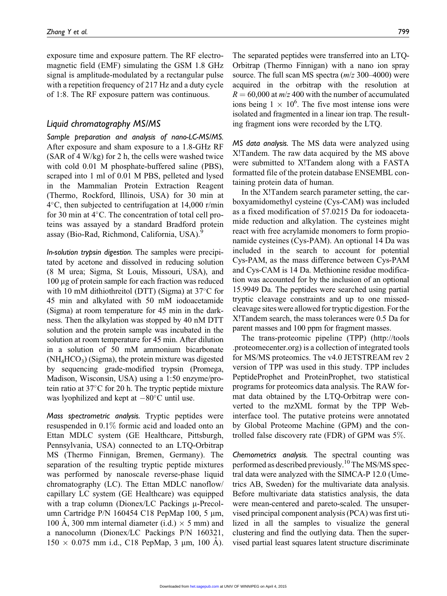exposure time and exposure pattern. The RF electromagnetic field (EMF) simulating the GSM 1.8 GHz signal is amplitude-modulated by a rectangular pulse with a repetition frequency of 217 Hz and a duty cycle of 1:8. The RF exposure pattern was continuous.

## Liquid chromatography MS/MS

Sample preparation and analysis of nano-LC-MS/MS. After exposure and sham exposure to a 1.8-GHz RF (SAR of 4 W/kg) for 2 h, the cells were washed twice with cold 0.01 M phosphate-buffered saline (PBS), scraped into 1 ml of 0.01 M PBS, pelleted and lysed in the Mammalian Protein Extraction Reagent (Thermo, Rockford, Illinois, USA) for 30 min at 4-C, then subjected to centrifugation at 14,000 r/min for 30 min at  $4^{\circ}$ C. The concentration of total cell proteins was assayed by a standard Bradford protein assay (Bio-Rad, Richmond, California, USA).<sup>9</sup>

In-solution trypsin digestion. The samples were precipitated by acetone and dissolved in reducing solution (8 M urea; Sigma, St Louis, Missouri, USA), and 100 mg of protein sample for each fraction was reduced with 10 mM dithiothreitol (DTT) (Sigma) at 37°C for 45 min and alkylated with 50 mM iodoacetamide (Sigma) at room temperature for 45 min in the darkness. Then the alkylation was stopped by 40 nM DTT solution and the protein sample was incubated in the solution at room temperature for 45 min. After dilution in a solution of 50 mM ammonium bicarbonate  $(NH<sub>4</sub>HCO<sub>3</sub>)$  (Sigma), the protein mixture was digested by sequencing grade-modified trypsin (Promega, Madison, Wisconsin, USA) using a 1:50 enzyme/protein ratio at  $37^{\circ}$ C for 20 h. The tryptic peptide mixture was lyophilized and kept at  $-80^{\circ}$ C until use.

Mass spectrometric analysis. Tryptic peptides were resuspended in 0.1% formic acid and loaded onto an Ettan MDLC system (GE Healthcare, Pittsburgh, Pennsylvania, USA) connected to an LTQ-Orbitrap MS (Thermo Finnigan, Bremen, Germany). The separation of the resulting tryptic peptide mixtures was performed by nanoscale reverse-phase liquid chromatography (LC). The Ettan MDLC nanoflow/ capillary LC system (GE Healthcare) was equipped with a trap column (Dionex/LC Packings  $\mu$ -Precolumn Cartridge P/N 160454 C18 PepMap 100, 5  $\mu$ m, 100 A, 300 mm internal diameter (i.d.)  $\times$  5 mm) and a nanocolumn (Dionex/LC Packings P/N 160321,  $150 \times 0.075$  mm i.d., C18 PepMap, 3 µm, 100 A).

The separated peptides were transferred into an LTQ-Orbitrap (Thermo Finnigan) with a nano ion spray source. The full scan MS spectra  $(m/z 300-4000)$  were acquired in the orbitrap with the resolution at  $R = 60,000$  at  $m/z$  400 with the number of accumulated ions being  $1 \times 10^6$ . The five most intense ions were isolated and fragmented in a linear ion trap. The resulting fragment ions were recorded by the LTQ.

MS data analysis. The MS data were analyzed using X!Tandem. The raw data acquired by the MS above were submitted to X!Tandem along with a FASTA formatted file of the protein database ENSEMBL containing protein data of human.

In the X!Tandem search parameter setting, the carboxyamidomethyl cysteine (Cys-CAM) was included as a fixed modification of 57.0215 Da for iodoacetamide reduction and alkylation. The cysteines might react with free acrylamide monomers to form propionamide cysteines (Cys-PAM). An optional 14 Da was included in the search to account for potential Cys-PAM, as the mass difference between Cys-PAM and Cys-CAM is 14 Da. Methionine residue modification was accounted for by the inclusion of an optional 15.9949 Da. The peptides were searched using partial tryptic cleavage constraints and up to one missedcleavage sites were allowed for tryptic digestion. For the X!Tandem search, the mass tolerances were 0.5 Da for parent masses and 100 ppm for fragment masses.

The trans-proteomic pipeline (TPP) (http://tools .proteomecenter.org) is a collection of integrated tools for MS/MS proteomics. The v4.0 JETSTREAM rev 2 version of TPP was used in this study. TPP includes PeptideProphet and ProteinProphet, two statistical programs for proteomics data analysis. The RAW format data obtained by the LTQ-Orbitrap were converted to the mzXML format by the TPP Webinterface tool. The putative proteins were annotated by Global Proteome Machine (GPM) and the controlled false discovery rate (FDR) of GPM was 5%.

Chemometrics analysis. The spectral counting was performed as described previously.<sup>10</sup> The MS/MS spectral data were analyzed with the SIMCA-P 12.0 (Umetrics AB, Sweden) for the multivariate data analysis. Before multivariate data statistics analysis, the data were mean-centered and pareto-scaled. The unsupervised principal component analysis (PCA) was first utilized in all the samples to visualize the general clustering and find the outlying data. Then the supervised partial least squares latent structure discriminate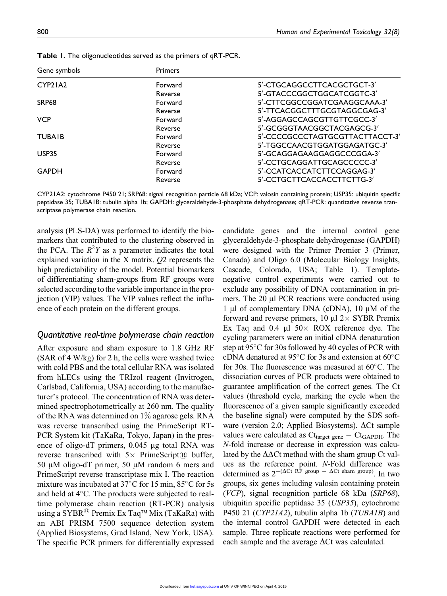| Gene symbols  | <b>Primers</b> |                                 |
|---------------|----------------|---------------------------------|
| CYP21A2       | Forward        | 5'-CTGCAGGCCTTCACGCTGCT-3'      |
|               | Reverse        | 5'-GTACCCGGCTGGCATCGGTC-3'      |
| SRP68         | Forward        | 5'-CTTCGGCCGGATCGAAGGCAAA-3'    |
|               | Reverse        | 5'-TTCACGGCTTTGCGTAGGCGAG-3'    |
| <b>VCP</b>    | Forward        | 5'-AGGAGCCAGCGTTGTTCGCC-3'      |
|               | Reverse        | 5'-GCGGGTAACGGCTACGAGCG-3'      |
| <b>TUBAIB</b> | Forward        | 5'-CCCCGCCCTAGTGCGTTACTTACCT-3' |
|               | Reverse        | 5'-TGGCCAACGTGGATGGAGATGC-3'    |
| USP35         | Forward        | 5'-GCAGGAGAAGGAGGCCCGGA-3'      |
|               | Reverse        | 5'-CCTGCAGGATTGCAGCCCCC-3'      |
| <b>GAPDH</b>  | Forward        | 5'-CCATCACCATCTTCCAGGAG-3'      |
|               | Reverse        | 5'-CCTGCTTCACCACCTTCTTG-3'      |

Table 1. The oligonucleotides served as the primers of qRT-PCR.

CYP21A2: cytochrome P450 21; SRP68: signal recognition particle 68 kDa; VCP: valosin containing protein; USP35: ubiquitin specific peptidase 35; TUBA1B: tubulin alpha 1b; GAPDH: glyceraldehyde-3-phosphate dehydrogenase; qRT-PCR: quantitative reverse transcriptase polymerase chain reaction.

analysis (PLS-DA) was performed to identify the biomarkers that contributed to the clustering observed in the PCA. The  $R^2Y$  as a parameter indicates the total explained variation in the X matrix. Q2 represents the high predictability of the model. Potential biomarkers of differentiating sham-groups from RF groups were selected according to the variable importance in the projection (VIP) values. The VIP values reflect the influence of each protein on the different groups.

#### Quantitative real-time polymerase chain reaction

After exposure and sham exposure to 1.8 GHz RF (SAR of 4 W/kg) for 2 h, the cells were washed twice with cold PBS and the total cellular RNA was isolated from hLECs using the TRIzol reagent (Invitrogen, Carlsbad, California, USA) according to the manufacturer's protocol. The concentration of RNA was determined spectrophotometrically at 260 nm. The quality of the RNA was determined on  $1\%$  agarose gels. RNA was reverse transcribed using the PrimeScript RT-PCR System kit (TaKaRa, Tokyo, Japan) in the presence of oligo-dT primers,  $0.045$  µg total RNA was reverse transcribed with  $5 \times$  PrimeScript $\overline{R}$  buffer, 50  $\mu$ M oligo-dT primer, 50  $\mu$ M random 6 mers and PrimeScript reverse transcriptase mix I. The reaction mixture was incubated at  $37^{\circ}$ C for 15 min,  $85^{\circ}$ C for 5s and held at 4°C. The products were subjected to realtime polymerase chain reaction (RT-PCR) analysis using a SYBR<sup>®</sup> Premix Ex Taq<sup>™</sup> Mix (TaKaRa) with an ABI PRISM 7500 sequence detection system (Applied Biosystems, Grad Island, New York, USA). The specific PCR primers for differentially expressed

candidate genes and the internal control gene glyceraldehyde-3-phosphate dehydrogenase (GAPDH) were designed with the Primer Premier 3 (Primer, Canada) and Oligo 6.0 (Molecular Biology Insights, Cascade, Colorado, USA; Table 1). Templatenegative control experiments were carried out to exclude any possibility of DNA contamination in primers. The  $20 \mu l$  PCR reactions were conducted using 1  $\mu$ l of complementary DNA (cDNA), 10  $\mu$ M of the forward and reverse primers, 10  $\mu$ l 2 $\times$  SYBR Premix Ex Taq and 0.4  $\mu$ l 50 $\times$  ROX reference dye. The cycling parameters were an initial cDNA denaturation step at 95°C for 30s followed by 40 cycles of PCR with cDNA denatured at 95 $^{\circ}$ C for 3s and extension at 60 $^{\circ}$ C for 30s. The fluorescence was measured at  $60^{\circ}$ C. The dissociation curves of PCR products were obtained to guarantee amplification of the correct genes. The Ct values (threshold cycle, marking the cycle when the fluorescence of a given sample significantly exceeded the baseline signal) were computed by the SDS software (version 2.0; Applied Biosystems).  $\Delta$ Ct sample values were calculated as  $\mathrm{Ct}_{\text{target gene}} - \mathrm{Ct}_{\text{GAPDH}}$ . The N-fold increase or decrease in expression was calculated by the  $\Delta\Delta$ Ct method with the sham group Ct values as the reference point. N-Fold difference was determined as  $2^{-(\Delta Ct \text{ RF group})} - \Delta Ct \text{ sham group})$ . In two groups, six genes including valosin containing protein (VCP), signal recognition particle 68 kDa (SRP68), ubiquitin specific peptidase 35 (USP35), cytochrome P450 21 (CYP21A2), tubulin alpha 1b (TUBA1B) and the internal control GAPDH were detected in each sample. Three replicate reactions were performed for each sample and the average  $\Delta$ Ct was calculated.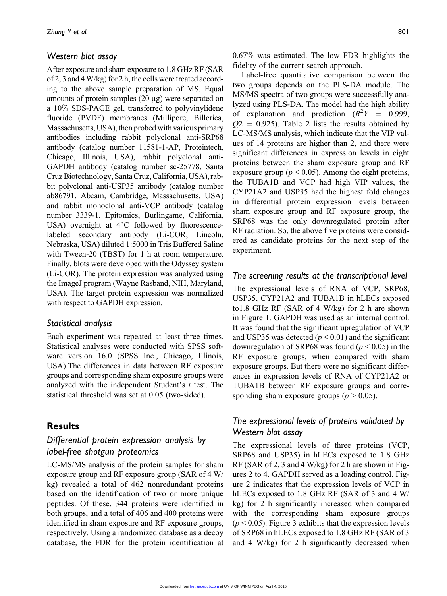#### Western blot assay

After exposure and sham exposure to 1.8 GHz RF (SAR of 2, 3 and 4 W/kg) for 2 h, the cells were treated according to the above sample preparation of MS. Equal amounts of protein samples  $(20 \mu g)$  were separated on a 10% SDS-PAGE gel, transferred to polyvinylidene fluoride (PVDF) membranes (Millipore, Billerica, Massachusetts, USA), then probed with various primary antibodies including rabbit polyclonal anti-SRP68 antibody (catalog number 11581-1-AP, Proteintech, Chicago, Illinois, USA), rabbit polyclonal anti-GAPDH antibody (catalog number sc-25778, Santa Cruz Biotechnology, Santa Cruz, California, USA), rabbit polyclonal anti-USP35 antibody (catalog number ab86791, Abcam, Cambridge, Massachusetts, USA) and rabbit monoclonal anti-VCP antibody (catalog number 3339-1, Epitomics, Burlingame, California, USA) overnight at  $4^{\circ}$ C followed by fluorescencelabeled secondary antibody (Li-COR, Lincoln, Nebraska, USA) diluted 1:5000 in Tris Buffered Saline with Tween-20 (TBST) for 1 h at room temperature. Finally, blots were developed with the Odyssey system (Li-COR). The protein expression was analyzed using the ImageJ program (Wayne Rasband, NIH, Maryland, USA). The target protein expression was normalized with respect to GAPDH expression.

#### Statistical analysis

Each experiment was repeated at least three times. Statistical analyses were conducted with SPSS software version 16.0 (SPSS Inc., Chicago, Illinois, USA).The differences in data between RF exposure groups and corresponding sham exposure groups were analyzed with the independent Student's  $t$  test. The statistical threshold was set at 0.05 (two-sided).

# **Results**

# Differential protein expression analysis by label-free shotgun proteomics

LC-MS/MS analysis of the protein samples for sham exposure group and RF exposure group (SAR of 4 W/ kg) revealed a total of 462 nonredundant proteins based on the identification of two or more unique peptides. Of these, 344 proteins were identified in both groups, and a total of 406 and 400 proteins were identified in sham exposure and RF exposure groups, respectively. Using a randomized database as a decoy database, the FDR for the protein identification at

Label-free quantitative comparison between the two groups depends on the PLS-DA module. The MS/MS spectra of two groups were successfully analyzed using PLS-DA. The model had the high ability of explanation and prediction  $(R^2Y = 0.999)$ ,  $Q2 = 0.925$ . Table 2 lists the results obtained by LC-MS/MS analysis, which indicate that the VIP values of 14 proteins are higher than 2, and there were significant differences in expression levels in eight proteins between the sham exposure group and RF exposure group ( $p < 0.05$ ). Among the eight proteins, the TUBA1B and VCP had high VIP values, the CYP21A2 and USP35 had the highest fold changes in differential protein expression levels between sham exposure group and RF exposure group, the SRP68 was the only downregulated protein after RF radiation. So, the above five proteins were considered as candidate proteins for the next step of the experiment.

## The screening results at the transcriptional level

The expressional levels of RNA of VCP, SRP68, USP35, CYP21A2 and TUBA1B in hLECs exposed to1.8 GHz RF (SAR of 4 W/kg) for 2 h are shown in Figure 1. GAPDH was used as an internal control. It was found that the significant upregulation of VCP and USP35 was detected ( $p < 0.01$ ) and the significant downregulation of SRP68 was found ( $p < 0.05$ ) in the RF exposure groups, when compared with sham exposure groups. But there were no significant differences in expression levels of RNA of CYP21A2 or TUBA1B between RF exposure groups and corresponding sham exposure groups ( $p > 0.05$ ).

# The expressional levels of proteins validated by Western blot assay

The expressional levels of three proteins (VCP, SRP68 and USP35) in hLECs exposed to 1.8 GHz RF (SAR of 2, 3 and 4 W/kg) for 2 h are shown in Figures 2 to 4. GAPDH served as a loading control. Figure 2 indicates that the expression levels of VCP in hLECs exposed to 1.8 GHz RF (SAR of 3 and 4 W/ kg) for 2 h significantly increased when compared with the corresponding sham exposure groups  $(p < 0.05)$ . Figure 3 exhibits that the expression levels of SRP68 in hLECs exposed to 1.8 GHz RF (SAR of 3 and 4 W/kg) for 2 h significantly decreased when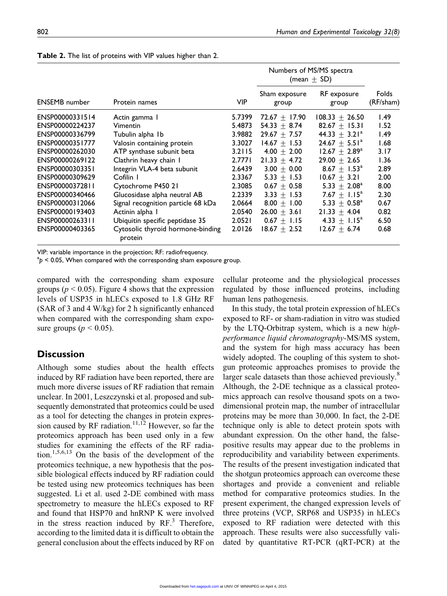|                      |                                              |            | Numbers of MS/MS spectra<br>(mean $\pm$ SD) |                       |                    |
|----------------------|----------------------------------------------|------------|---------------------------------------------|-----------------------|--------------------|
| <b>ENSEMB</b> number | Protein names                                | <b>VIP</b> | Sham exposure<br>group                      | RF exposure<br>group  | Folds<br>(RF/sham) |
| ENSP00000331514      | Actin gamma 1                                | 5.7399     | $72.67 + 17.90$                             | $108.33 \pm 26.50$    | 1.49               |
| ENSP00000224237      | <b>Vimentin</b>                              | 5.4873     | $54.33 + 8.74$                              | $82.67 + 15.31$       | 1.52               |
| ENSP00000336799      | Tubulin alpha 1b                             | 3.9882     | $29.67 + 7.57$                              | $44.33 + 3.21^a$      | 1.49               |
| ENSP00000351777      | Valosin containing protein                   | 3.3027     | $14.67 + 1.53$                              | $24.67 + 5.51^a$      | 1.68               |
| ENSP00000262030      | ATP synthase subunit beta                    | 3.2115     | $4.00 + 2.00$                               | $12.67 + 2.89^a$      | 3.17               |
| ENSP00000269122      | Clathrin heavy chain I                       | 2.7771     | $21.33 + 4.72$                              | $29.00 + 2.65$        | 1.36               |
| ENSP00000303351      | Integrin VLA-4 beta subunit                  | 2.6439     | $3.00 + 0.00$                               | $8.67 + 1.53^{\circ}$ | 2.89               |
| ENSP00000309629      | Cofilin I                                    | 2.3367     | $5.33 + 1.53$                               | $10.67 + 3.21$        | 2.00               |
| ENSP00000372811      | Cytochrome P450 21                           | 2.3085     | $0.67 + 0.58$                               | $5.33 + 2.08^a$       | 8.00               |
| ENSP00000340466      | Glucosidase alpha neutral AB                 | 2.2339     | $3.33 + 1.53$                               | $7.67 + 1.15^a$       | 2.30               |
| ENSP00000312066      | Signal recognition particle 68 kDa           | 2.0664     | $8.00 + 1.00$                               | $5.33 + 0.58^{\circ}$ | 0.67               |
| ENSP00000193403      | Actinin alpha I                              | 2.0540     | $26.00 + 3.61$                              | $21.33 \pm 4.04$      | 0.82               |
| ENSP00000263311      | Ubiquitin specific peptidase 35              | 2.0521     | $0.67 + 1.15$                               | $4.33 + 1.15^{\circ}$ | 6.50               |
| ENSP00000403365      | Cytosolic thyroid hormone-binding<br>protein | 2.0126     | $18.67 + 2.52$                              | $12.67 + 6.74$        | 0.68               |

Table 2. The list of proteins with VIP values higher than 2.

VIP: variable importance in the projection; RF: radiofrequency.

 $a_p$  < 0.05, When compared with the corresponding sham exposure group.

compared with the corresponding sham exposure groups ( $p < 0.05$ ). Figure 4 shows that the expression levels of USP35 in hLECs exposed to 1.8 GHz RF (SAR of 3 and 4 W/kg) for 2 h significantly enhanced when compared with the corresponding sham exposure groups ( $p < 0.05$ ).

# **Discussion**

Although some studies about the health effects induced by RF radiation have been reported, there are much more diverse issues of RF radiation that remain unclear. In 2001, Leszczynski et al. proposed and subsequently demonstrated that proteomics could be used as a tool for detecting the changes in protein expression caused by RF radiation.<sup>11,12</sup> However, so far the proteomics approach has been used only in a few studies for examining the effects of the RF radiation.1,5,6,13 On the basis of the development of the proteomics technique, a new hypothesis that the possible biological effects induced by RF radiation could be tested using new proteomics techniques has been suggested. Li et al. used 2-DE combined with mass spectrometry to measure the hLECs exposed to RF and found that HSP70 and hnRNP K were involved in the stress reaction induced by  $RF<sup>3</sup>$ . Therefore, according to the limited data it is difficult to obtain the general conclusion about the effects induced by RF on cellular proteome and the physiological processes regulated by those influenced proteins, including human lens pathogenesis.

In this study, the total protein expression of hLECs exposed to RF- or sham-radiation in vitro was studied by the LTQ-Orbitrap system, which is a new highperformance liquid chromatography-MS/MS system, and the system for high mass accuracy has been widely adopted. The coupling of this system to shotgun proteomic approaches promises to provide the larger scale datasets than those achieved previously.<sup>8</sup> Although, the 2-DE technique as a classical proteomics approach can resolve thousand spots on a twodimensional protein map, the number of intracellular proteins may be more than 30,000. In fact, the 2-DE technique only is able to detect protein spots with abundant expression. On the other hand, the falsepositive results may appear due to the problems in reproducibility and variability between experiments. The results of the present investigation indicated that the shotgun proteomics approach can overcome these shortages and provide a convenient and reliable method for comparative proteomics studies. In the present experiment, the changed expression levels of three proteins (VCP, SRP68 and USP35) in hLECs exposed to RF radiation were detected with this approach. These results were also successfully validated by quantitative RT-PCR (qRT-PCR) at the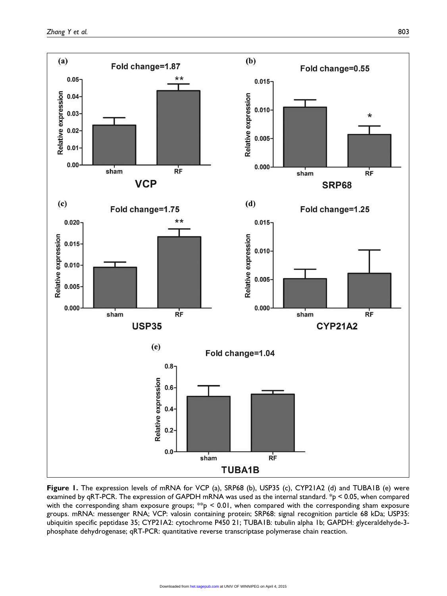

Figure 1. The expression levels of mRNA for VCP (a), SRP68 (b), USP35 (c), CYP21A2 (d) and TUBA1B (e) were examined by qRT-PCR. The expression of GAPDH mRNA was used as the internal standard. \*p < 0.05, when compared with the corresponding sham exposure groups;  $*p < 0.01$ , when compared with the corresponding sham exposure groups. mRNA: messenger RNA; VCP: valosin containing protein; SRP68: signal recognition particle 68 kDa; USP35: ubiquitin specific peptidase 35; CYP21A2: cytochrome P450 21; TUBA1B: tubulin alpha 1b; GAPDH: glyceraldehyde-3 phosphate dehydrogenase; qRT-PCR: quantitative reverse transcriptase polymerase chain reaction.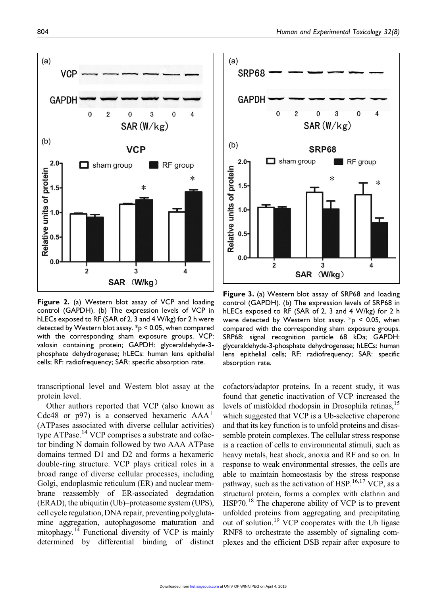

Figure 2. (a) Western blot assay of VCP and loading control (GAPDH). (b) The expression levels of VCP in hLECs exposed to RF (SAR of 2, 3 and 4 W/kg) for 2 h were detected by Western blot assay. \*p < 0.05, when compared with the corresponding sham exposure groups. VCP: valosin containing protein; GAPDH: glyceraldehyde-3 phosphate dehydrogenase; hLECs: human lens epithelial cells; RF: radiofrequency; SAR: specific absorption rate.

transcriptional level and Western blot assay at the protein level.

Other authors reported that VCP (also known as Cdc48 or p97) is a conserved hexameric  $AAA<sup>+</sup>$ (ATPases associated with diverse cellular activities) type ATPase.<sup>14</sup> VCP comprises a substrate and cofactor binding N domain followed by two AAA ATPase domains termed D1 and D2 and forms a hexameric double-ring structure. VCP plays critical roles in a broad range of diverse cellular processes, including Golgi, endoplasmic reticulum (ER) and nuclear membrane reassembly of ER-associated degradation (ERAD), the ubiquitin (Ub)–proteasome system (UPS), cell cycle regulation, DNA repair, preventing polyglutamine aggregation, autophagosome maturation and mitophagy.14 Functional diversity of VCP is mainly determined by differential binding of distinct



Figure 3. (a) Western blot assay of SRP68 and loading control (GAPDH). (b) The expression levels of SRP68 in hLECs exposed to RF (SAR of 2, 3 and 4 W/kg) for 2 h were detected by Western blot assay.  $*_{p}$  < 0.05, when compared with the corresponding sham exposure groups. SRP68: signal recognition particle 68 kDa; GAPDH: glyceraldehyde-3-phosphate dehydrogenase; hLECs: human lens epithelial cells; RF: radiofrequency; SAR: specific absorption rate.

cofactors/adaptor proteins. In a recent study, it was found that genetic inactivation of VCP increased the levels of misfolded rhodopsin in Drosophila retinas,<sup>15</sup> which suggested that VCP is a Ub-selective chaperone and that its key function is to unfold proteins and disassemble protein complexes. The cellular stress response is a reaction of cells to environmental stimuli, such as heavy metals, heat shock, anoxia and RF and so on. In response to weak environmental stresses, the cells are able to maintain homeostasis by the stress response pathway, such as the activation of HSP.<sup>16,17</sup> VCP, as a structural protein, forms a complex with clathrin and  $HSP70<sup>18</sup>$  The chaperone ability of VCP is to prevent unfolded proteins from aggregating and precipitating out of solution.<sup>19</sup> VCP cooperates with the Ub ligase RNF8 to orchestrate the assembly of signaling complexes and the efficient DSB repair after exposure to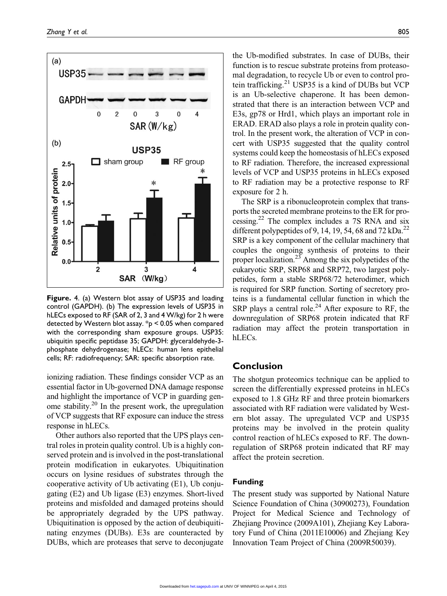

Figure. 4. (a) Western blot assay of USP35 and loading control (GAPDH). (b) The expression levels of USP35 in hLECs exposed to RF (SAR of 2, 3 and 4 W/kg) for 2 h were detected by Western blot assay. \*p < 0.05 when compared with the corresponding sham exposure groups. USP35: ubiquitin specific peptidase 35; GAPDH: glyceraldehyde-3 phosphate dehydrogenase; hLECs: human lens epithelial cells; RF: radiofrequency; SAR: specific absorption rate.

ionizing radiation. These findings consider VCP as an essential factor in Ub-governed DNA damage response and highlight the importance of VCP in guarding genome stability.<sup>20</sup> In the present work, the upregulation of VCP suggests that RF exposure can induce the stress response in hLECs.

Other authors also reported that the UPS plays central roles in protein quality control. Ub is a highly conserved protein and is involved in the post-translational protein modification in eukaryotes. Ubiquitination occurs on lysine residues of substrates through the cooperative activity of Ub activating (E1), Ub conjugating (E2) and Ub ligase (E3) enzymes. Short-lived proteins and misfolded and damaged proteins should be appropriately degraded by the UPS pathway. Ubiquitination is opposed by the action of deubiquitinating enzymes (DUBs). E3s are counteracted by DUBs, which are proteases that serve to deconjugate

the Ub-modified substrates. In case of DUBs, their function is to rescue substrate proteins from proteasomal degradation, to recycle Ub or even to control protein trafficking.<sup>21</sup> USP35 is a kind of DUBs but VCP is an Ub-selective chaperone. It has been demonstrated that there is an interaction between VCP and E3s, gp78 or Hrd1, which plays an important role in ERAD. ERAD also plays a role in protein quality control. In the present work, the alteration of VCP in concert with USP35 suggested that the quality control systems could keep the homeostasis of hLECs exposed to RF radiation. Therefore, the increased expressional levels of VCP and USP35 proteins in hLECs exposed to RF radiation may be a protective response to RF exposure for 2 h.

The SRP is a ribonucleoprotein complex that transports the secreted membrane proteins to the ER for processing.22 The complex includes a 7S RNA and six different polypeptides of 9, 14, 19, 54, 68 and 72 kDa.<sup>22</sup> SRP is a key component of the cellular machinery that couples the ongoing synthesis of proteins to their proper localization.<sup>23</sup> Among the six polypetides of the eukaryotic SRP, SRP68 and SRP72, two largest polypetides, form a stable SRP68/72 heterodimer, which is required for SRP function. Sorting of secretory proteins is a fundamental cellular function in which the SRP plays a central role.<sup>24</sup> After exposure to RF, the downregulation of SRP68 protein indicated that RF radiation may affect the protein transportation in hLECs.

## **Conclusion**

The shotgun proteomics technique can be applied to screen the differentially expressed proteins in hLECs exposed to 1.8 GHz RF and three protein biomarkers associated with RF radiation were validated by Western blot assay. The upregulated VCP and USP35 proteins may be involved in the protein quality control reaction of hLECs exposed to RF. The downregulation of SRP68 protein indicated that RF may affect the protein secretion.

#### Funding

The present study was supported by National Nature Science Foundation of China (30900273), Foundation Project for Medical Science and Technology of Zhejiang Province (2009A101), Zhejiang Key Laboratory Fund of China (2011E10006) and Zhejiang Key Innovation Team Project of China (2009R50039).